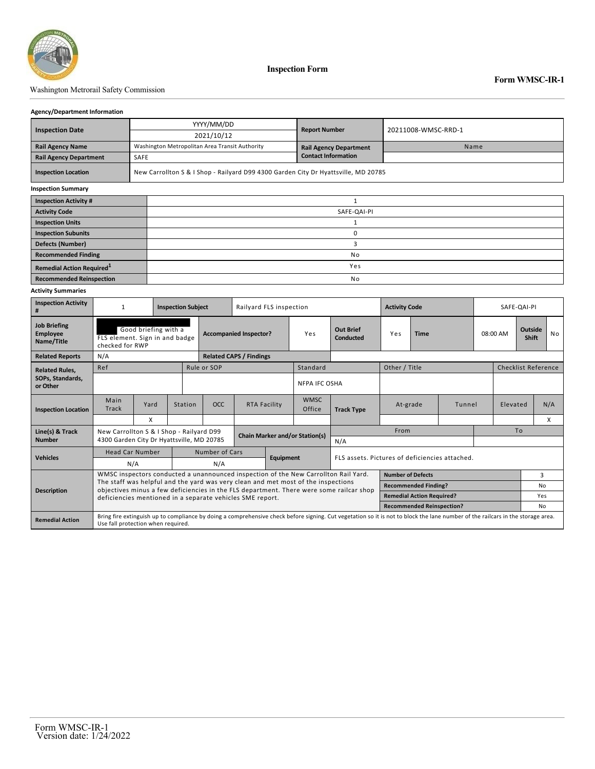

#### Washington Metrorail Safety Commission

#### **Agency/Department Information**

| <b>Inspection Date</b>        |                                                                                    | YYYY/MM/DD                                     | <b>Report Number</b>          | 20211008-WMSC-RRD-1 |  |  |  |  |
|-------------------------------|------------------------------------------------------------------------------------|------------------------------------------------|-------------------------------|---------------------|--|--|--|--|
|                               |                                                                                    | 2021/10/12                                     |                               |                     |  |  |  |  |
| <b>Rail Agency Name</b>       |                                                                                    | Washington Metropolitan Area Transit Authority | <b>Rail Agency Department</b> | Name                |  |  |  |  |
| <b>Rail Agency Department</b> | SAFE                                                                               |                                                | <b>Contact Information</b>    |                     |  |  |  |  |
| <b>Inspection Location</b>    | New Carrollton S & I Shop - Railyard D99 4300 Garden City Dr Hyattsville, MD 20785 |                                                |                               |                     |  |  |  |  |
| <b>Inspection Summary</b>     |                                                                                    |                                                |                               |                     |  |  |  |  |
| <b>Inspection Activity #</b>  |                                                                                    |                                                |                               |                     |  |  |  |  |
| <b>Activity Code</b>          |                                                                                    |                                                |                               | SAFE-QAI-PI         |  |  |  |  |
| <b>Inspection Units</b>       |                                                                                    |                                                |                               |                     |  |  |  |  |
| <b>Inspection Subunits</b>    |                                                                                    | 0                                              |                               |                     |  |  |  |  |
| <b>Defects (Number)</b>       |                                                                                    |                                                |                               |                     |  |  |  |  |

**Recommended Finding No. 2016. The Commended Finding No. 2016. The Commended Finding No. 2016. No. 2016. In the Commended Finding No. 2016. No. 2016. In the Commended Finding No. 2016. In the Commended Finding No. 2016. In** 

### **Remedial Action Required**<sup>1</sup> **a 1** *Physics* **<b>Properties Properties Properties Properties Properties Properties Recommended Reinspection**

### **Activity Summaries**

| <b>Inspection Activity</b>                           | <b>Inspection Subject</b>                                                                                                                                                                                             |                                          |                                       |                                           | Railyard FLS inspection |  |                       |                               | <b>Activity Code</b>                           | SAFE-QAI-PI                             |          |  |                                |           |     |  |
|------------------------------------------------------|-----------------------------------------------------------------------------------------------------------------------------------------------------------------------------------------------------------------------|------------------------------------------|---------------------------------------|-------------------------------------------|-------------------------|--|-----------------------|-------------------------------|------------------------------------------------|-----------------------------------------|----------|--|--------------------------------|-----------|-----|--|
| <b>Job Briefing</b><br><b>Employee</b><br>Name/Title | Good briefing with a<br>FLS element. Sign in and badge<br>checked for RWP                                                                                                                                             |                                          |                                       | <b>Accompanied Inspector?</b>             |                         |  | Yes                   | <b>Out Brief</b><br>Conducted | <b>Time</b><br>Yes                             |                                         | 08:00 AM |  | <b>Outside</b><br><b>Shift</b> | <b>No</b> |     |  |
| <b>Related Reports</b>                               | N/A                                                                                                                                                                                                                   |                                          |                                       | <b>Related CAPS / Findings</b>            |                         |  |                       |                               |                                                |                                         |          |  |                                |           |     |  |
| <b>Related Rules.</b>                                | Ref                                                                                                                                                                                                                   |                                          |                                       | Rule or SOP                               |                         |  | Standard              |                               | Other / Title                                  |                                         |          |  | <b>Checklist Reference</b>     |           |     |  |
| SOPs, Standards,<br>or Other                         |                                                                                                                                                                                                                       |                                          |                                       |                                           |                         |  | <b>NFPA IFC OSHA</b>  |                               |                                                |                                         |          |  |                                |           |     |  |
| <b>Inspection Location</b>                           | Main<br>Track                                                                                                                                                                                                         | Yard                                     | Station                               | OCC                                       | <b>RTA Facility</b>     |  | <b>WMSC</b><br>Office | <b>Track Type</b>             | At-grade                                       |                                         | Tunnel   |  | Elevated                       |           | N/A |  |
|                                                      |                                                                                                                                                                                                                       | X                                        |                                       |                                           |                         |  |                       |                               |                                                |                                         |          |  |                                | X         |     |  |
| Line(s) & Track                                      |                                                                                                                                                                                                                       | New Carrollton S & I Shop - Railyard D99 | <b>Chain Marker and/or Station(s)</b> |                                           |                         |  |                       |                               | From                                           |                                         |          |  | To                             |           |     |  |
| <b>Number</b>                                        | 4300 Garden City Dr Hyattsville, MD 20785                                                                                                                                                                             |                                          |                                       |                                           |                         |  | N/A                   |                               |                                                |                                         |          |  |                                |           |     |  |
| <b>Vehicles</b>                                      | <b>Head Car Number</b>                                                                                                                                                                                                |                                          |                                       | <b>Number of Cars</b><br><b>Equipment</b> |                         |  |                       |                               | FLS assets. Pictures of deficiencies attached. |                                         |          |  |                                |           |     |  |
|                                                      | N/A                                                                                                                                                                                                                   |                                          |                                       | N/A                                       |                         |  |                       |                               |                                                |                                         |          |  |                                |           |     |  |
|                                                      | WMSC inspectors conducted a unannounced inspection of the New Carrollton Rail Yard.<br><b>Number of Defects</b><br>3                                                                                                  |                                          |                                       |                                           |                         |  |                       |                               |                                                |                                         |          |  |                                |           |     |  |
| <b>Description</b>                                   | The staff was helpful and the yard was very clean and met most of the inspections<br>objectives minus a few deficiencies in the FLS department. There were some railcar shop                                          |                                          |                                       |                                           |                         |  |                       |                               |                                                | <b>Recommended Finding?</b><br>No       |          |  |                                |           |     |  |
|                                                      | deficiencies mentioned in a separate vehicles SME report.                                                                                                                                                             |                                          |                                       |                                           |                         |  |                       |                               |                                                | <b>Remedial Action Required?</b><br>Yes |          |  |                                |           |     |  |
|                                                      |                                                                                                                                                                                                                       |                                          |                                       |                                           |                         |  |                       |                               |                                                | <b>Recommended Reinspection?</b>        |          |  |                                |           | No  |  |
| <b>Remedial Action</b>                               | Bring fire extinguish up to compliance by doing a comprehensive check before signing. Cut vegetation so it is not to block the lane number of the railcars in the storage area.<br>Use fall protection when required. |                                          |                                       |                                           |                         |  |                       |                               |                                                |                                         |          |  |                                |           |     |  |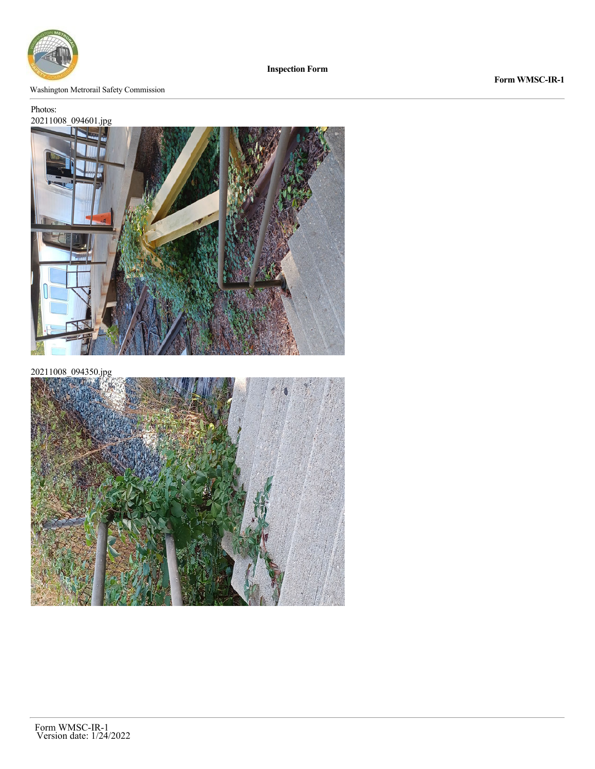

**Inspection Form**

#### Washington Metrorail Safety Commission

# Photos:

## 20211008\_094601.jpg



20211008\_094350.jpg



**Form WMSC-IR-1**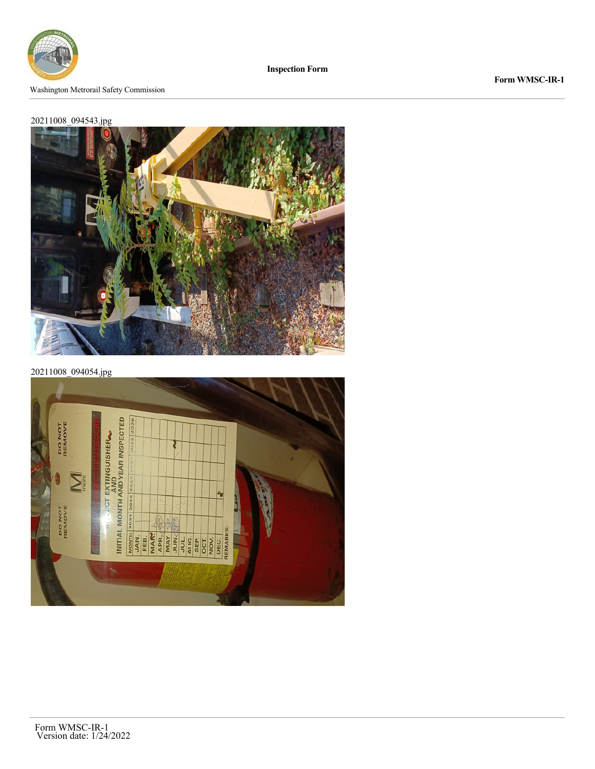

**Inspection Form**

### **Form WMSC-IR-1**

## 20211008\_094543.jpg



20211008\_094054.jpg